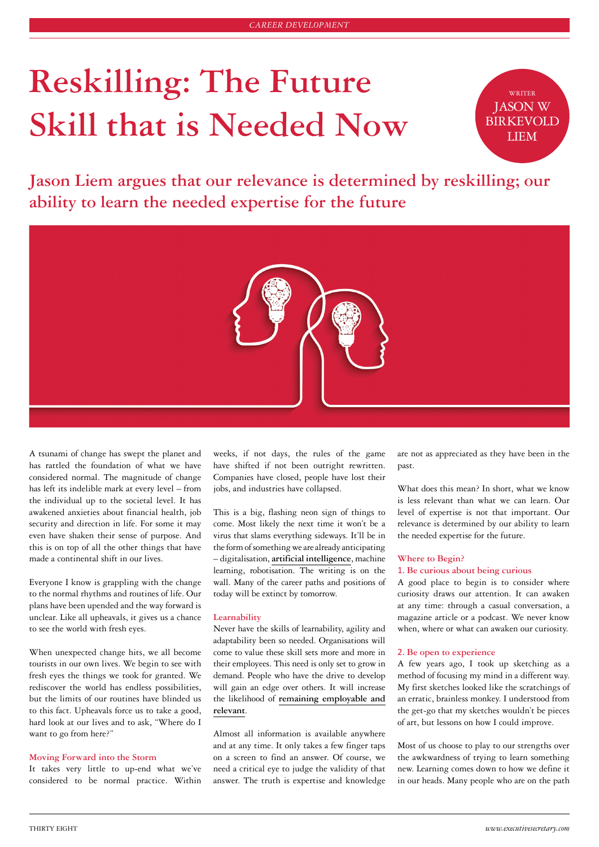# **Reskilling: The Future Skill that is Needed Now**

WRITER JASON W **BIRKEVOLD** LIEM

**Jason Liem argues that our relevance is determined by reskilling; our ability to learn the needed expertise for the future**



A tsunami of change has swept the planet and has rattled the foundation of what we have considered normal. The magnitude of change has left its indelible mark at every level – from the individual up to the societal level. It has awakened anxieties about financial health, job security and direction in life. For some it may even have shaken their sense of purpose. And this is on top of all the other things that have made a continental shift in our lives.

Everyone I know is grappling with the change to the normal rhythms and routines of life. Our plans have been upended and the way forward is unclear. Like all upheavals, it gives us a chance to see the world with fresh eyes.

When unexpected change hits, we all become tourists in our own lives. We begin to see with fresh eyes the things we took for granted. We rediscover the world has endless possibilities, but the limits of our routines have blinded us to this fact. Upheavals force us to take a good, hard look at our lives and to ask, "Where do I want to go from here?"

# **Moving Forward into the Storm**

It takes very little to up-end what we've considered to be normal practice. Within weeks, if not days, the rules of the game have shifted if not been outright rewritten. Companies have closed, people have lost their jobs, and industries have collapsed.

This is a big, flashing neon sign of things to come. Most likely the next time it won't be a virus that slams everything sideways. It'll be in the form of something we are already anticipating – digitalisation, **[artificial intelligence](https://executivesecretary.com/get-to-know-alexa/)**, machine learning, robotisation. The writing is on the wall. Many of the career paths and positions of today will be extinct by tomorrow.

## **Learnability**

Never have the skills of learnability, agility and adaptability been so needed. Organisations will come to value these skill sets more and more in their employees. This need is only set to grow in demand. People who have the drive to develop will gain an edge over others. It will increase the likelihood of **[remaining employable and](https://executivesecretary.com/staying-relevant-in-a-changing-workplace/) [relevant](https://executivesecretary.com/staying-relevant-in-a-changing-workplace/)**.

Almost all information is available anywhere and at any time. It only takes a few finger taps on a screen to find an answer. Of course, we need a critical eye to judge the validity of that answer. The truth is expertise and knowledge

are not as appreciated as they have been in the past.

What does this mean? In short, what we know is less relevant than what we can learn. Our level of expertise is not that important. Our relevance is determined by our ability to learn the needed expertise for the future.

# **Where to Begin?**

## 1. **Be curious about being curious**

A good place to begin is to consider where curiosity draws our attention. It can awaken at any time: through a casual conversation, a magazine article or a podcast. We never know when, where or what can awaken our curiosity.

### 2. **Be open to experience**

A few years ago, I took up sketching as a method of focusing my mind in a different way. My first sketches looked like the scratchings of an erratic, brainless monkey. I understood from the get-go that my sketches wouldn't be pieces of art, but lessons on how I could improve.

Most of us choose to play to our strengths over the awkwardness of trying to learn something new. Learning comes down to how we define it in our heads. Many people who are on the path